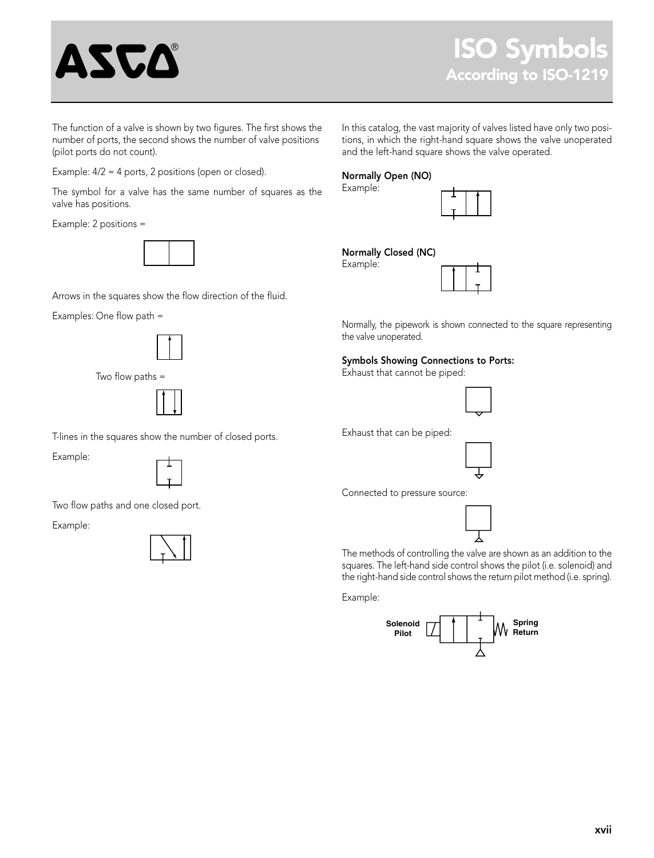

The function of a valve is shown by two figures. The first shows the number of ports, the second shows the number of valve positions (pilot ports do not count).

Example: 4/2 = 4 ports, 2 positions (open or closed).

The symbol for a valve has the same number of squares as the valve has positions.

Example: 2 positions =

Arrows in the squares show the flow direction of the fluid.

Examples: One flow path =



Two flow paths =



T-lines in the squares show the number of closed ports.

Example:



Two flow paths and one closed port.

Example:



In this catalog, the vast majority of valves listed have only two positions, in which the right-hand square shows the valve unoperated and the left-hand square shows the valve operated.

## Normally Open (NO)

Example:



## Normally Closed (NC) Example:



Normally, the pipework is shown connected to the square representing the valve unoperated.

## Symbols Showing Connections to Ports:

Exhaust that cannot be piped:



Exhaust that can be piped:



Connected to pressure source:



The methods of controlling the valve are shown as an addition to the squares. The left-hand side control shows the pilot (i.e. solenoid) and the right-hand side control shows the return pilot method (i.e. spring).

Example: